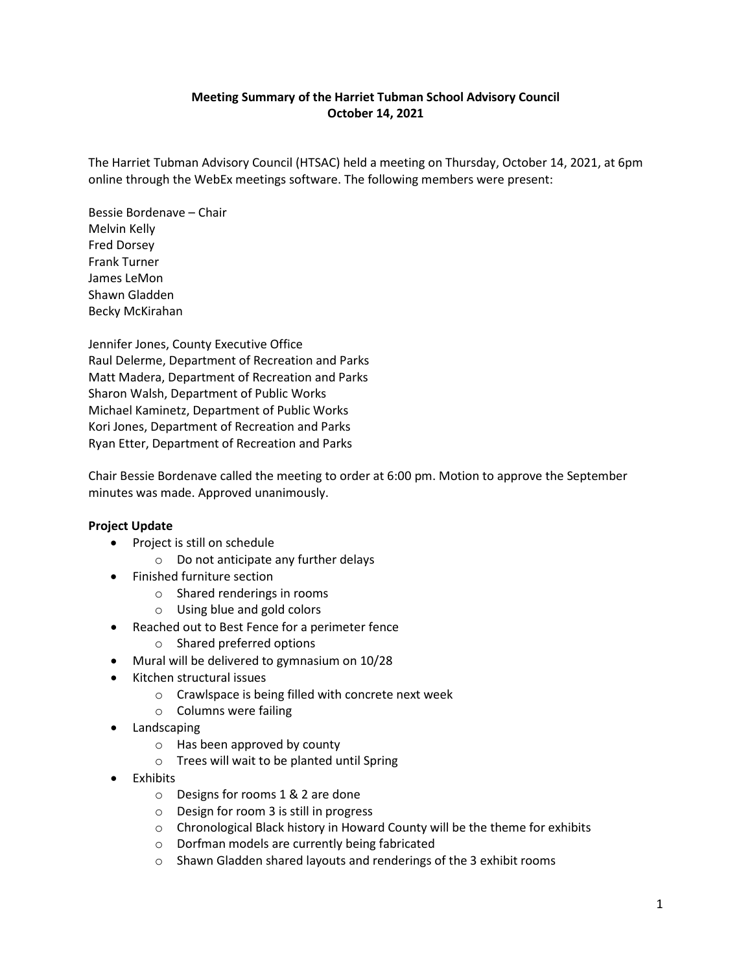## **Meeting Summary of the Harriet Tubman School Advisory Council October 14, 2021**

The Harriet Tubman Advisory Council (HTSAC) held a meeting on Thursday, October 14, 2021, at 6pm online through the WebEx meetings software. The following members were present:

Bessie Bordenave – Chair Melvin Kelly Fred Dorsey Frank Turner James LeMon Shawn Gladden Becky McKirahan

Jennifer Jones, County Executive Office Raul Delerme, Department of Recreation and Parks Matt Madera, Department of Recreation and Parks Sharon Walsh, Department of Public Works Michael Kaminetz, Department of Public Works Kori Jones, Department of Recreation and Parks Ryan Etter, Department of Recreation and Parks

Chair Bessie Bordenave called the meeting to order at 6:00 pm. Motion to approve the September minutes was made. Approved unanimously.

## **Project Update**

- Project is still on schedule
	- o Do not anticipate any further delays
- Finished furniture section
	- o Shared renderings in rooms
	- o Using blue and gold colors
- Reached out to Best Fence for a perimeter fence
	- o Shared preferred options
- Mural will be delivered to gymnasium on 10/28
- Kitchen structural issues
	- o Crawlspace is being filled with concrete next week
	- o Columns were failing
- Landscaping
	- o Has been approved by county
	- o Trees will wait to be planted until Spring
- Exhibits
	- o Designs for rooms 1 & 2 are done
	- o Design for room 3 is still in progress
	- o Chronological Black history in Howard County will be the theme for exhibits
	- o Dorfman models are currently being fabricated
	- o Shawn Gladden shared layouts and renderings of the 3 exhibit rooms